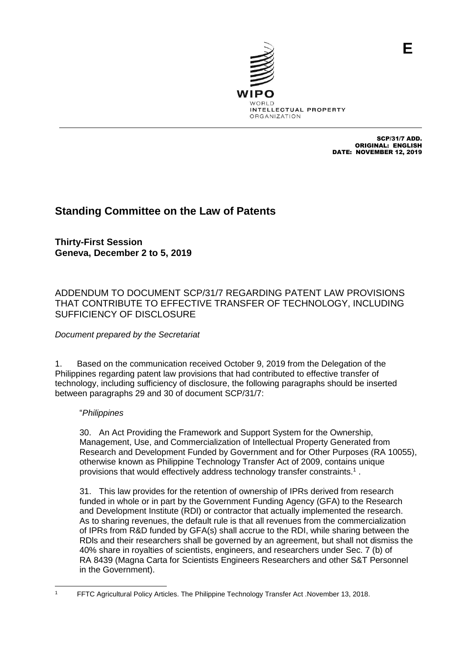SCP/31/7 ADD. ORIGINAL: ENGLISH DATE: NOVEMBER 12, 2019

## **Standing Committee on the Law of Patents**

**Thirty-First Session Geneva, December 2 to 5, 2019**

## ADDENDUM TO DOCUMENT SCP/31/7 REGARDING PATENT LAW PROVISIONS THAT CONTRIBUTE TO EFFECTIVE TRANSFER OF TECHNOLOGY, INCLUDING SUFFICIENCY OF DISCLOSURE

## *Document prepared by the Secretariat*

1. Based on the communication received October 9, 2019 from the Delegation of the Philippines regarding patent law provisions that had contributed to effective transfer of technology, including sufficiency of disclosure, the following paragraphs should be inserted between paragraphs 29 and 30 of document SCP/31/7:

## "*Philippines*

30. An Act Providing the Framework and Support System for the Ownership, Management, Use, and Commercialization of Intellectual Property Generated from Research and Development Funded by Government and for Other Purposes (RA 10055), otherwise known as Philippine Technology Transfer Act of 2009, contains unique provisions that would effectively address technology transfer constraints.<sup>1</sup>.

31. This law provides for the retention of ownership of IPRs derived from research funded in whole or in part by the Government Funding Agency (GFA) to the Research and Development Institute (RDI) or contractor that actually implemented the research. As to sharing revenues, the default rule is that all revenues from the commercialization of IPRs from R&D funded by GFA(s) shall accrue to the RDI, while sharing between the RDls and their researchers shall be governed by an agreement, but shall not dismiss the 40% share in royalties of scientists, engineers, and researchers under Sec. 7 (b) of RA 8439 (Magna Carta for Scientists Engineers Researchers and other S&T Personnel in the Government).

 <sup>1</sup> FFTC Agricultural Policy Articles. The Philippine Technology Transfer Act .November 13, 2018.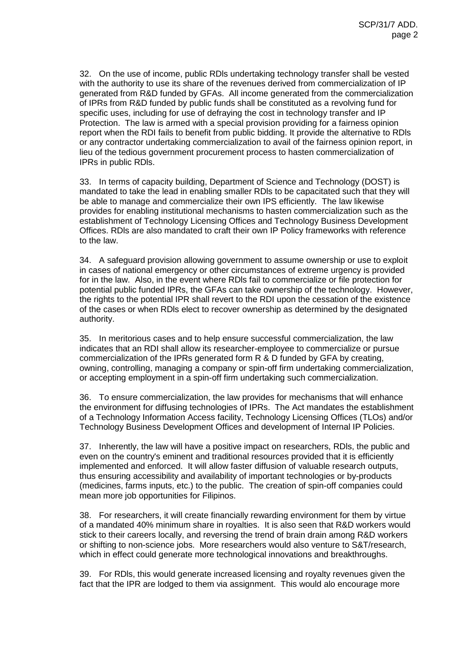32. On the use of income, public RDls undertaking technology transfer shall be vested with the authority to use its share of the revenues derived from commercialization of IP generated from R&D funded by GFAs. All income generated from the commercialization of IPRs from R&D funded by public funds shall be constituted as a revolving fund for specific uses, including for use of defraying the cost in technology transfer and IP Protection. The law is armed with a special provision providing for a fairness opinion report when the RDI fails to benefit from public bidding. It provide the alternative to RDls or any contractor undertaking commercialization to avail of the fairness opinion report, in lieu of the tedious government procurement process to hasten commercialization of IPRs in public RDls.

33. In terms of capacity building, Department of Science and Technology (DOST) is mandated to take the lead in enabling smaller RDls to be capacitated such that they will be able to manage and commercialize their own IPS efficiently. The law likewise provides for enabling institutional mechanisms to hasten commercialization such as the establishment of Technology Licensing Offices and Technology Business Development Offices. RDls are also mandated to craft their own IP Policy frameworks with reference to the law.

34. A safeguard provision allowing government to assume ownership or use to exploit in cases of national emergency or other circumstances of extreme urgency is provided for in the law. Also, in the event where RDls fail to commercialize or file protection for potential public funded IPRs, the GFAs can take ownership of the technology. However, the rights to the potential IPR shall revert to the RDI upon the cessation of the existence of the cases or when RDls elect to recover ownership as determined by the designated authority.

35. In meritorious cases and to help ensure successful commercialization, the law indicates that an RDI shall allow its researcher-employee to commercialize or pursue commercialization of the IPRs generated form R & D funded by GFA by creating, owning, controlling, managing a company or spin-off firm undertaking commercialization, or accepting employment in a spin-off firm undertaking such commercialization.

36. To ensure commercialization, the law provides for mechanisms that will enhance the environment for diffusing technologies of IPRs. The Act mandates the establishment of a Technology Information Access facility, Technology Licensing Offices (TLOs) and/or Technology Business Development Offices and development of Internal IP Policies.

37. Inherently, the law will have a positive impact on researchers, RDls, the public and even on the country's eminent and traditional resources provided that it is efficiently implemented and enforced. It will allow faster diffusion of valuable research outputs, thus ensuring accessibility and availability of important technologies or by-products (medicines, farms inputs, etc.) to the public. The creation of spin-off companies could mean more job opportunities for Filipinos.

38. For researchers, it will create financially rewarding environment for them by virtue of a mandated 40% minimum share in royalties. It is also seen that R&D workers would stick to their careers locally, and reversing the trend of brain drain among R&D workers or shifting to non-science jobs. More researchers would also venture to S&T/research, which in effect could generate more technological innovations and breakthroughs.

39. For RDls, this would generate increased licensing and royalty revenues given the fact that the IPR are lodged to them via assignment. This would alo encourage more